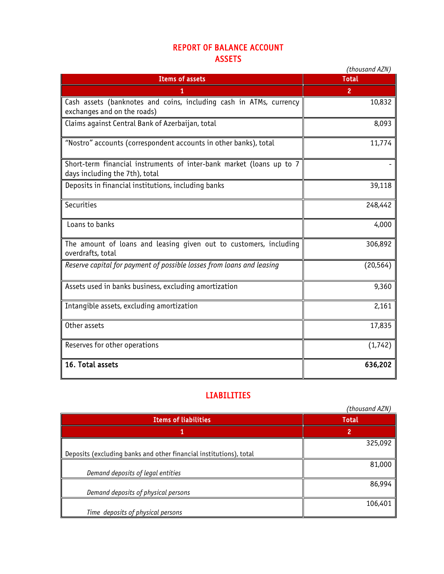## REPORT OF BALANCE ACCOUNT ASSETS

|                                                                                                        | (thousand AZN) |
|--------------------------------------------------------------------------------------------------------|----------------|
| <b>Items of assets</b>                                                                                 | <b>Total</b>   |
| 1                                                                                                      | $\overline{2}$ |
| Cash assets (banknotes and coins, including cash in ATMs, currency<br>exchanges and on the roads)      | 10,832         |
| Claims against Central Bank of Azerbaijan, total                                                       | 8,093          |
| "Nostro" accounts (correspondent accounts in other banks), total                                       | 11,774         |
| Short-term financial instruments of inter-bank market (loans up to 7<br>days including the 7th), total |                |
| Deposits in financial institutions, including banks                                                    | 39,118         |
| Securities                                                                                             | 248,442        |
| Loans to banks                                                                                         | 4,000          |
| The amount of loans and leasing given out to customers, including<br>overdrafts, total                 | 306,892        |
| Reserve capital for payment of possible losses from loans and leasing                                  | (20, 564)      |
| Assets used in banks business, excluding amortization                                                  | 9,360          |
| Intangible assets, excluding amortization                                                              | 2,161          |
| Other assets                                                                                           | 17,835         |
| Reserves for other operations                                                                          | (1,742)        |
| 16. Total assets                                                                                       | 636,202        |

## LIABILITIES

|                                                                    | (thousand AZN) |
|--------------------------------------------------------------------|----------------|
| <b>Items of liabilities</b>                                        | <b>Total</b>   |
|                                                                    |                |
|                                                                    | 325,092        |
| Deposits (excluding banks and other financial institutions), total |                |
|                                                                    | 81,000         |
| Demand deposits of legal entities                                  |                |
|                                                                    | 86,994         |
| Demand deposits of physical persons                                |                |
|                                                                    | 106,401        |
| Time deposits of physical persons                                  |                |